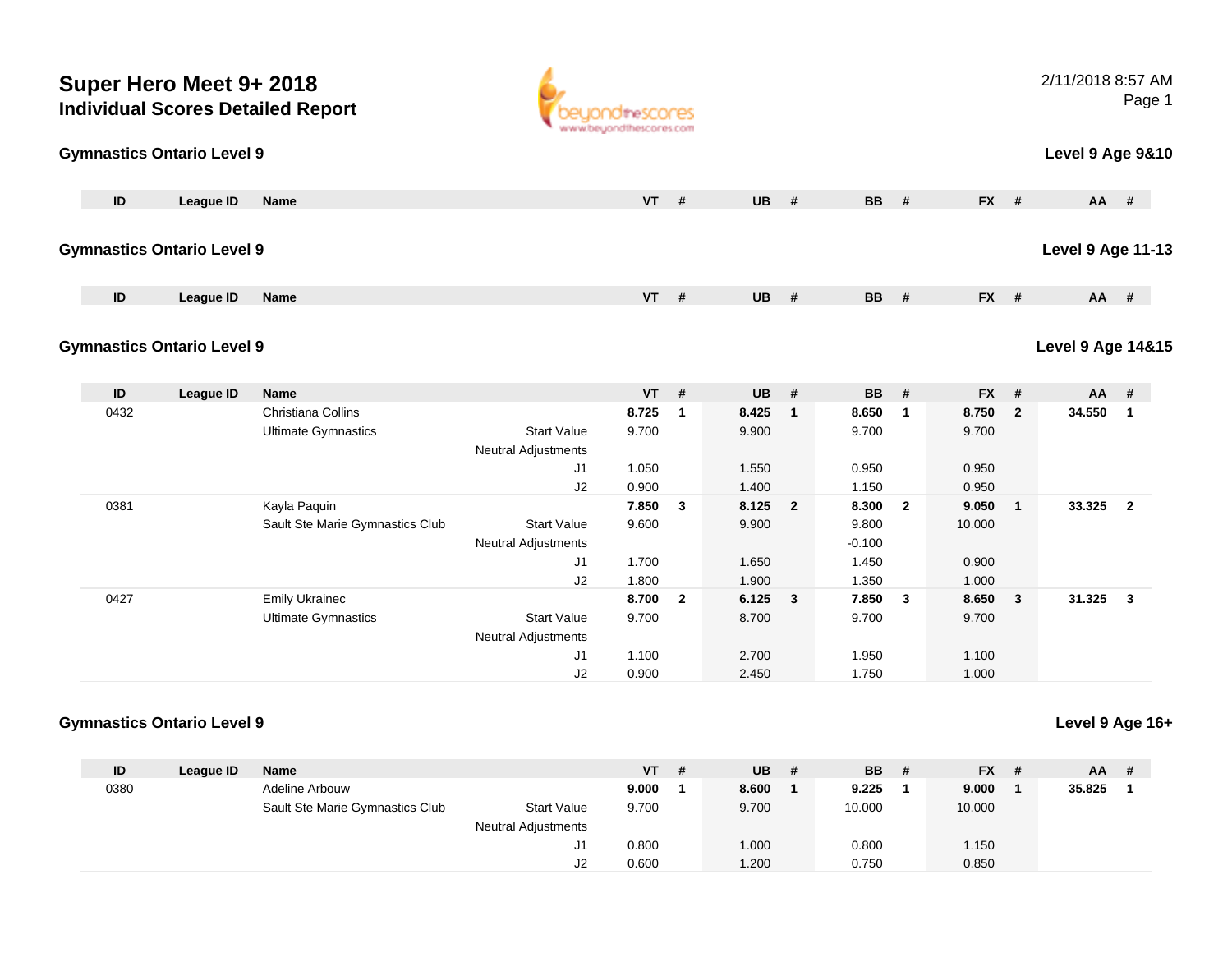| Super Hero Meet 9+ 2018<br><b>Individual Scores Detailed Report</b> |                                   |                                                     | www.beyondthescores.com                          |                  |                |                |                |                            |                         | 2/11/2018 8:57 AM | Page 1         |                              |                         |
|---------------------------------------------------------------------|-----------------------------------|-----------------------------------------------------|--------------------------------------------------|------------------|----------------|----------------|----------------|----------------------------|-------------------------|-------------------|----------------|------------------------------|-------------------------|
|                                                                     | <b>Gymnastics Ontario Level 9</b> |                                                     |                                                  |                  |                |                |                |                            |                         |                   |                | Level 9 Age 9&10             |                         |
| ID                                                                  | <b>League ID</b>                  | Name                                                |                                                  | $VT$ #           |                | $UB$ #         |                | <b>BB</b>                  | #                       | FX #              |                |                              | AA #                    |
|                                                                     | <b>Gymnastics Ontario Level 9</b> |                                                     |                                                  |                  |                |                |                |                            |                         |                   |                | <b>Level 9 Age 11-13</b>     |                         |
| ID                                                                  | <b>League ID</b>                  | Name                                                |                                                  | <b>VT</b>        | #              | <b>UB</b>      | #              | <b>BB</b>                  | #                       | FX #              |                | <b>AA</b>                    | #                       |
|                                                                     | <b>Gymnastics Ontario Level 9</b> |                                                     |                                                  |                  |                |                |                |                            |                         |                   |                | <b>Level 9 Age 14&amp;15</b> |                         |
|                                                                     |                                   |                                                     |                                                  |                  |                |                |                |                            |                         |                   |                |                              |                         |
| ID                                                                  | <b>League ID</b>                  | <b>Name</b>                                         |                                                  | <b>VT</b>        | #              | <b>UB</b>      | #              | <b>BB</b>                  | #                       | $FX$ #            |                | AA                           | #                       |
| 0432                                                                |                                   | Christiana Collins<br><b>Ultimate Gymnastics</b>    | <b>Start Value</b><br>Neutral Adjustments        | 8.725<br>9.700   | $\overline{1}$ | 8.425<br>9.900 | $\mathbf{1}$   | 8.650<br>9.700             | $\overline{1}$          | 8.750<br>9.700    | $\overline{2}$ | 34.550                       | $\overline{1}$          |
|                                                                     |                                   |                                                     | J1                                               | 1.050            |                | 1.550          |                | 0.950                      |                         | 0.950             |                |                              |                         |
|                                                                     |                                   |                                                     | J2                                               | 0.900            |                | 1.400          |                | 1.150                      |                         | 0.950             |                |                              |                         |
| 0381                                                                |                                   | Kayla Paquin<br>Sault Ste Marie Gymnastics Club     | <b>Start Value</b><br><b>Neutral Adjustments</b> | 7.850 3<br>9.600 |                | 8.125<br>9.900 | $\overline{2}$ | 8.300<br>9.800<br>$-0.100$ | $\overline{\mathbf{2}}$ | 9.050<br>10.000   | $\mathbf{1}$   | 33.325                       | $\overline{2}$          |
|                                                                     |                                   |                                                     | J1                                               | 1.700            |                | 1.650          |                | 1.450                      |                         | 0.900             |                |                              |                         |
|                                                                     |                                   |                                                     | J2                                               | 1.800            |                | 1.900          |                | 1.350                      |                         | 1.000             |                |                              |                         |
| 0427                                                                |                                   | <b>Emily Ukrainec</b><br><b>Ultimate Gymnastics</b> | <b>Start Value</b><br><b>Neutral Adjustments</b> | 8.700<br>9.700   | $\overline{2}$ | 6.125<br>8.700 | $\mathbf{3}$   | 7.850<br>9.700             | $\mathbf{3}$            | 8.650<br>9.700    | $\mathbf{3}$   | 31.325                       | $\overline{\mathbf{3}}$ |
|                                                                     |                                   |                                                     | J1<br>J2                                         | 1.100<br>0.900   |                | 2.700<br>2.450 |                | 1.950<br>1.750             |                         | 1.100<br>1.000    |                |                              |                         |

| ID   | League ID | Name                            |                     | VT    | # | <b>UB</b> | <b>BB</b> | - # | <b>FX</b> | - # | <b>AA</b> |  |
|------|-----------|---------------------------------|---------------------|-------|---|-----------|-----------|-----|-----------|-----|-----------|--|
| 0380 |           | Adeline Arbouw                  |                     | 9.000 |   | 8.600     | 9.225     |     | 9.000     |     | 35.825    |  |
|      |           | Sault Ste Marie Gymnastics Club | <b>Start Value</b>  | 9.700 |   | 9.700     | 10.000    |     | 10.000    |     |           |  |
|      |           |                                 | Neutral Adjustments |       |   |           |           |     |           |     |           |  |
|      |           |                                 | J1                  | 0.800 |   | 1.000     | 0.800     |     | 1.150     |     |           |  |
|      |           |                                 | J2                  | 0.600 |   | 1.200     | 0.750     |     | 0.850     |     |           |  |